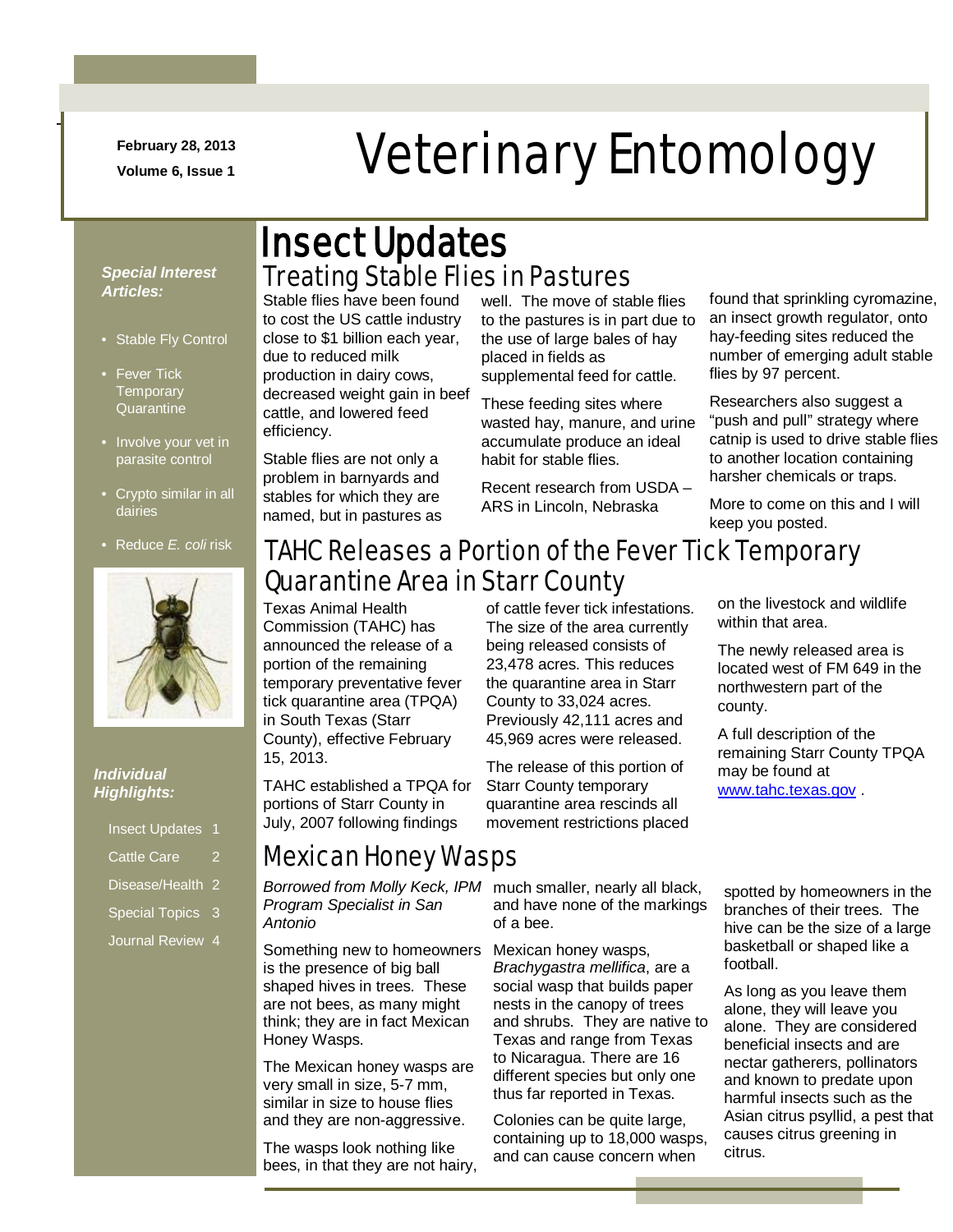**February 28, 2013**

-

## February 28, 2013<br>Veterinary Entomology

#### *Special Interest Articles:*

- Stable Fly Control
- Fever Tick **Temporary Quarantine**
- Involve your vet in parasite control
- Crypto similar in all dairies
- Reduce *E. coli* risk



#### *Individual Highlights:*

| <b>Insect Updates 1</b>     |   |
|-----------------------------|---|
| <b>Cattle Care</b>          | 2 |
| Disease/Health <sub>2</sub> |   |
|                             |   |

- Special Topics 3
- Journal Review 4

## Treating Stable Flies in Pastures Insect Updates

Stable flies have been found to cost the US cattle industry close to \$1 billion each year, due to reduced milk production in dairy cows, decreased weight gain in beef cattle, and lowered feed efficiency.

Stable flies are not only a problem in barnyards and stables for which they are named, but in pastures as

well. The move of stable flies to the pastures is in part due to the use of large bales of hay placed in fields as supplemental feed for cattle.

These feeding sites where wasted hay, manure, and urine accumulate produce an ideal habit for stable flies.

Recent research from USDA – ARS in Lincoln, Nebraska

found that sprinkling cyromazine, an insect growth regulator, onto hay-feeding sites reduced the number of emerging adult stable flies by 97 percent.

Researchers also suggest a "push and pull" strategy where catnip is used to drive stable flies to another location containing harsher chemicals or traps.

More to come on this and I will keep you posted.

## TAHC Releases a Portion of the Fever Tick Temporary Quarantine Area in Starr County

Texas Animal Health Commission (TAHC) has announced the release of a portion of the remaining temporary preventative fever tick quarantine area (TPQA) in South Texas (Starr County), effective February 15, 2013.

TAHC established a TPQA for portions of Starr County in July, 2007 following findings

## Mexican Honey Wasps

*Borrowed from Molly Keck, IPM Program Specialist in San Antonio*

Something new to homeowners is the presence of big ball shaped hives in trees. These are not bees, as many might think; they are in fact Mexican Honey Wasps.

The Mexican honey wasps are very small in size, 5-7 mm, similar in size to house flies and they are non-aggressive.

The wasps look nothing like bees, in that they are not hairy,

of cattle fever tick infestations. The size of the area currently being released consists of 23,478 acres. This reduces the quarantine area in Starr County to 33,024 acres. Previously 42,111 acres and 45,969 acres were released.

The release of this portion of Starr County temporary quarantine area rescinds all movement restrictions placed

much smaller, nearly all black, and have none of the markings of a bee.

Mexican honey wasps, *Brachygastra mellifica*, are a social wasp that builds paper nests in the canopy of trees and shrubs. They are native to Texas and range from Texas to Nicaragua. There are 16 different species but only one thus far reported in Texas.

Colonies can be quite large, containing up to 18,000 wasps, and can cause concern when

on the livestock and wildlife within that area.

The newly released area is located west of FM 649 in the northwestern part of the county.

A full description of the remaining Starr County TPQA may be found at [www.tahc.texas.gov](http://www.tahc.texas.gov/) .

spotted by homeowners in the branches of their trees. The hive can be the size of a large basketball or shaped like a football.

As long as you leave them alone, they will leave you alone. They are considered beneficial insects and are nectar gatherers, pollinators and known to predate upon harmful insects such as the Asian citrus psyllid, a pest that causes citrus greening in citrus.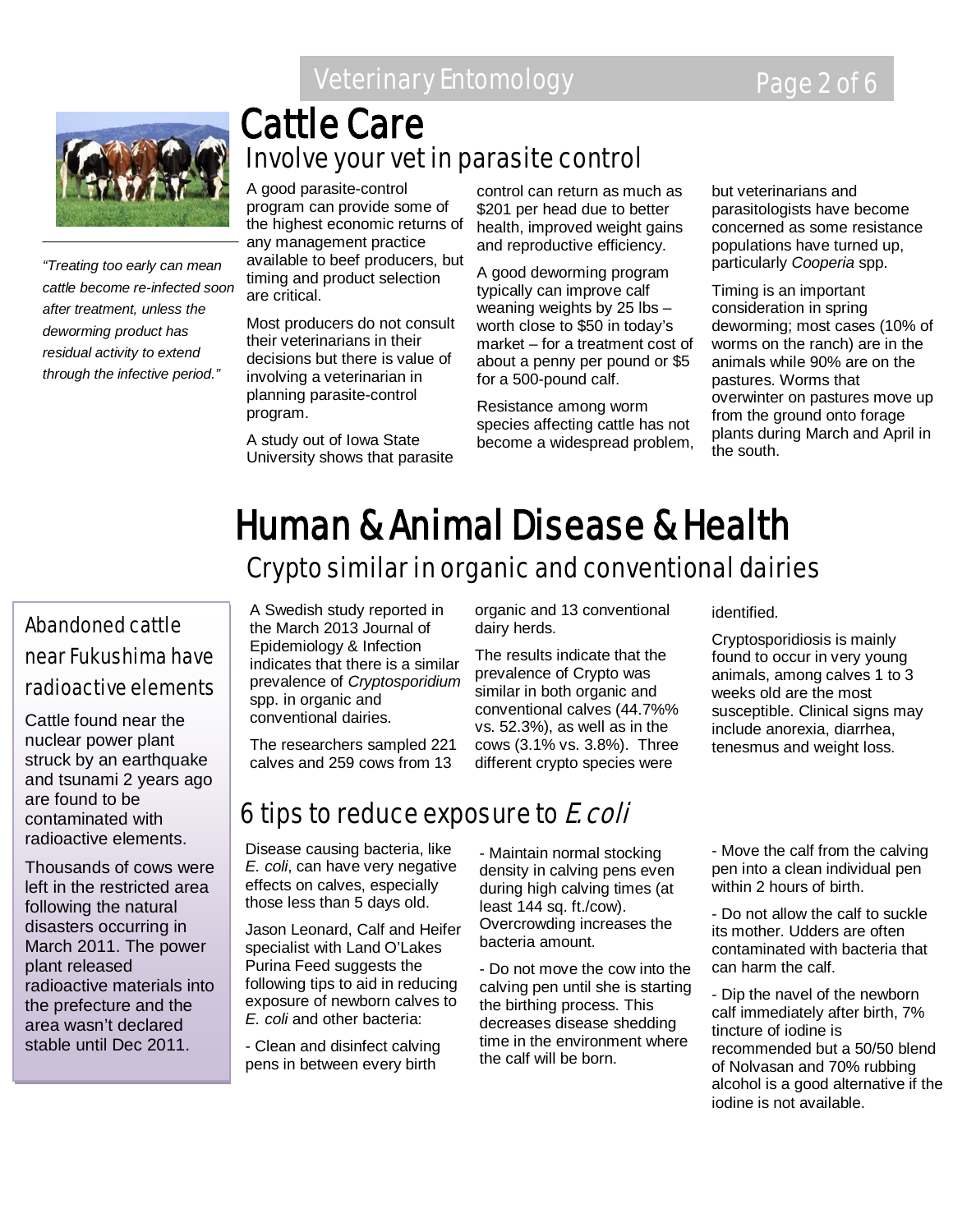## Veterinary Entomology Page 2 of 6



*"Treating too early can mean cattle become re-infected soon after treatment, unless the deworming product has residual activity to extend through the infective period."*

## Involve your vet in parasite control Cattle Care

A good parasite-control program can provide some of the highest economic returns of any management practice available to beef producers, but timing and product selection are critical.

Most producers do not consult their veterinarians in their decisions but there is value of involving a veterinarian in planning parasite-control program.

A study out of Iowa State University shows that parasite

control can return as much as \$201 per head due to better health, improved weight gains and reproductive efficiency.

A good deworming program typically can improve calf weaning weights by 25 lbs – worth close to \$50 in today's market – for a treatment cost of about a penny per pound or \$5 for a 500-pound calf.

Resistance among worm species affecting cattle has not become a widespread problem,

organic and 13 conventional

The results indicate that the prevalence of Crypto was similar in both organic and conventional calves (44.7%% vs. 52.3%), as well as in the cows (3.1% vs. 3.8%). Three different crypto species were

but veterinarians and parasitologists have become concerned as some resistance populations have turned up, particularly *Cooperia* spp.

Timing is an important consideration in spring deworming; most cases (10% of worms on the ranch) are in the animals while 90% are on the pastures. Worms that overwinter on pastures move up from the ground onto forage plants during March and April in the south.

# **Human & Animal Disease & Health**<br>Crypto similar in organic and conventional dairies

dairy herds.

### Abandoned cattle near Fukushima have radioactive elements

Cattle found near the nuclear power plant struck by an earthquake and tsunami 2 years ago are found to be contaminated with radioactive elements.

Thousands of cows were left in the restricted area following the natural disasters occurring in March 2011. The power plant released radioactive materials into the prefecture and the area wasn't declared stable until Dec 2011.

A Swedish study reported in the March 2013 Journal of Epidemiology & Infection indicates that there is a similar prevalence of *Cryptosporidium*  spp. in organic and conventional dairies.

The researchers sampled 221 calves and 259 cows from 13

## 6 tips to reduce exposure to E. coli

Disease causing bacteria, like *E. coli*, can have very negative effects on calves, especially those less than 5 days old.

Jason Leonard, Calf and Heifer specialist with Land O'Lakes Purina Feed suggests the following tips to aid in reducing exposure of newborn calves to *E. coli* and other bacteria:

- Clean and disinfect calving pens in between every birth

- Maintain normal stocking density in calving pens even during high calving times (at least 144 sq. ft./cow). Overcrowding increases the bacteria amount.

- Do not move the cow into the calving pen until she is starting the birthing process. This decreases disease shedding time in the environment where the calf will be born.

identified.

Cryptosporidiosis is mainly found to occur in very young animals, among calves 1 to 3 weeks old are the most susceptible. Clinical signs may include anorexia, diarrhea, tenesmus and weight loss.

- Move the calf from the calving pen into a clean individual pen within 2 hours of birth.

- Do not allow the calf to suckle its mother. Udders are often contaminated with bacteria that can harm the calf.

- Dip the navel of the newborn calf immediately after birth, 7% tincture of iodine is recommended but a 50/50 blend of Nolvasan and 70% rubbing alcohol is a good alternative if the iodine is not available.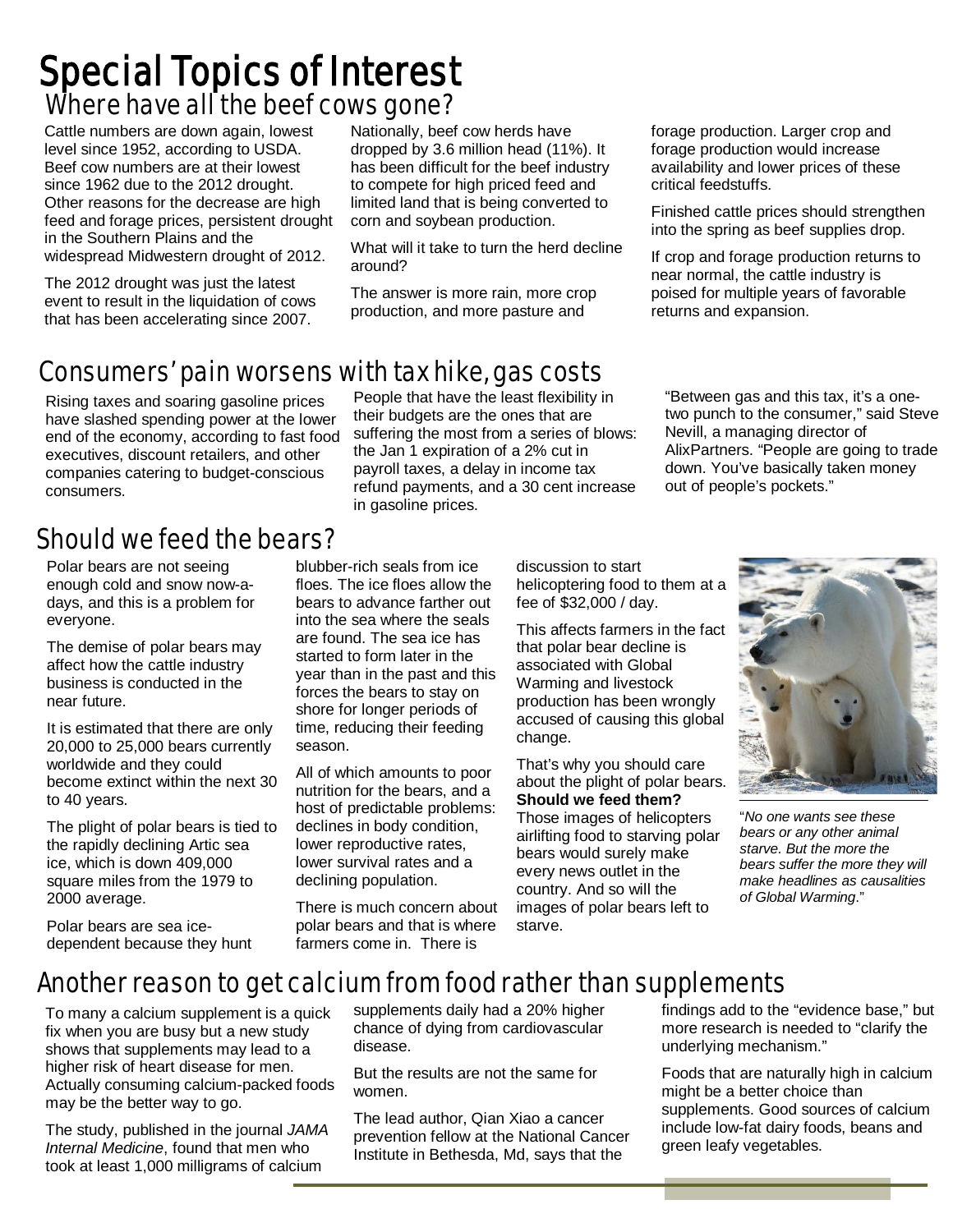## Where have all the beef cows gone? Special Topics of Interest

Cattle numbers are down again, lowest level since 1952, according to USDA. Beef cow numbers are at their lowest since 1962 due to the 2012 drought. Other reasons for the decrease are high feed and forage prices, persistent drought in the Southern Plains and the widespread Midwestern drought of 2012.

The 2012 drought was just the latest event to result in the liquidation of cows that has been accelerating since 2007.

Nationally, beef cow herds have dropped by 3.6 million head (11%). It has been difficult for the beef industry to compete for high priced feed and limited land that is being converted to corn and soybean production.

What will it take to turn the herd decline around?

The answer is more rain, more crop production, and more pasture and

their budgets are the ones that are

forage production. Larger crop and forage production would increase availability and lower prices of these critical feedstuffs.

Finished cattle prices should strengthen into the spring as beef supplies drop.

If crop and forage production returns to near normal, the cattle industry is poised for multiple years of favorable returns and expansion.

#### Consumers' pain worsenswith tax hike, gas costs People that have the least flexibility in

Rising taxes and soaring gasoline prices have slashed spending power at the lower end of the economy, according to fast food executives, discount retailers, and other companies catering to budget-conscious consumers.

## Should we feed the bears?

Polar bears are not seeing enough cold and snow now-adays, and this is a problem for everyone.

The demise of polar bears may affect how the cattle industry business is conducted in the near future.

It is estimated that there are only 20,000 to 25,000 bears currently worldwide and they could become extinct within the next 30 to 40 years.

The plight of polar bears is tied to the rapidly declining Artic sea ice, which is down 409,000 square miles from the 1979 to 2000 average.

Polar bears are sea icedependent because they hunt suffering the most from a series of blows: the Jan 1 expiration of a 2% cut in payroll taxes, a delay in income tax refund payments, and a 30 cent increase in gasoline prices.

"Between gas and this tax, it's a onetwo punch to the consumer," said Steve Nevill, a managing director of AlixPartners. "People are going to trade down. You've basically taken money out of people's pockets."

blubber-rich seals from ice floes. The ice floes allow the bears to advance farther out into the sea where the seals are found. The sea ice has started to form later in the year than in the past and this forces the bears to stay on shore for longer periods of time, reducing their feeding season.

All of which amounts to poor nutrition for the bears, and a host of predictable problems: declines in body condition, lower reproductive rates, lower survival rates and a declining population.

There is much concern about polar bears and that is where farmers come in. There is

discussion to start helicoptering food to them at a fee of \$32,000 / day.

This affects farmers in the fact that polar bear decline is associated with Global Warming and livestock production has been wrongly accused of causing this global change.

That's why you should care about the plight of polar bears. **Should we feed them?** Those images of helicopters airlifting food to starving polar bears would surely make every news outlet in the country. And so will the images of polar bears left to starve.



"*No one wants see these bears or any other animal starve. But the more the bears suffer the more they will make headlines as causalities of Global Warming*."

## Another reason to get calcium from food rather than supplements

To many a calcium supplement is a quick fix when you are busy but a new study shows that supplements may lead to a higher risk of heart disease for men. Actually consuming calcium-packed foods may be the better way to go.

The study, published in the journal *JAMA Internal Medicine*, found that men who took at least 1,000 milligrams of calcium

supplements daily had a 20% higher chance of dying from cardiovascular disease.

But the results are not the same for women.

The lead author, Qian Xiao a cancer prevention fellow at the National Cancer Institute in Bethesda, Md, says that the

findings add to the "evidence base," but more research is needed to "clarify the underlying mechanism."

Foods that are naturally high in calcium might be a better choice than supplements. Good sources of calcium include low-fat dairy foods, beans and green leafy vegetables.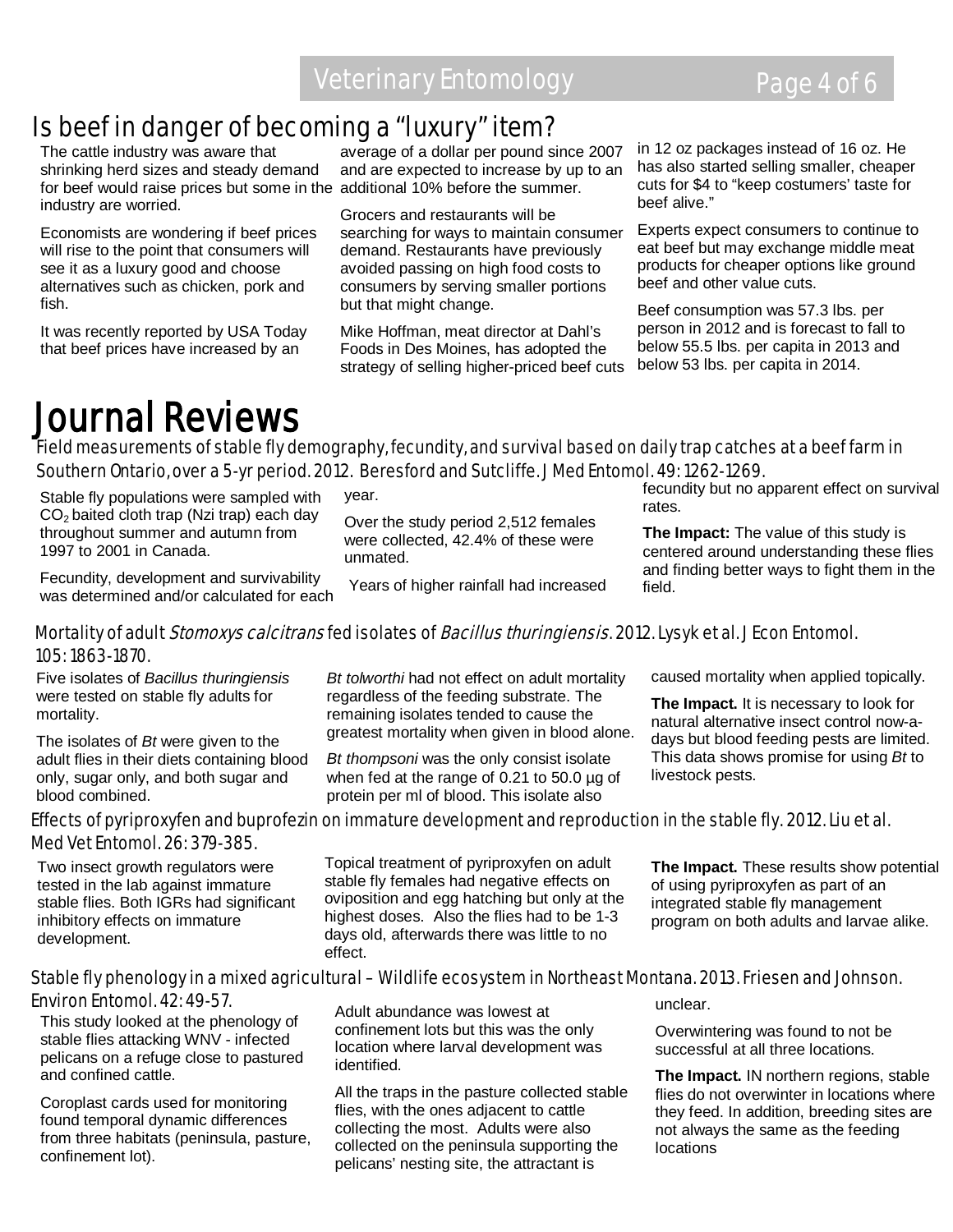## Is beef in danger of becoming a "luxury" item?

The cattle industry was aware that shrinking herd sizes and steady demand for beef would raise prices but some in the additional 10% before the summer. industry are worried.

Economists are wondering if beef prices will rise to the point that consumers will see it as a luxury good and choose alternatives such as chicken, pork and fish.

It was recently reported by USA Today that beef prices have increased by an

average of a dollar per pound since 2007 and are expected to increase by up to an

Grocers and restaurants will be searching for ways to maintain consumer demand. Restaurants have previously avoided passing on high food costs to consumers by serving smaller portions but that might change.

Mike Hoffman, meat director at Dahl's Foods in Des Moines, has adopted the strategy of selling higher-priced beef cuts in 12 oz packages instead of 16 oz. He has also started selling smaller, cheaper cuts for \$4 to "keep costumers' taste for beef alive."

Experts expect consumers to continue to eat beef but may exchange middle meat products for cheaper options like ground beef and other value cuts.

Beef consumption was 57.3 lbs. per person in 2012 and is forecast to fall to below 55.5 lbs. per capita in 2013 and below 53 lbs. per capita in 2014.

## Journal Reviews

Field measurements of stable fly demography, fecundity, and survival based on daily trap catches at a beef farm in Southern Ontario, over a 5-yr period. 2012. Beresford and Sutcliffe. J Med Entomol. 49: 1262-1269.

Stable fly populations were sampled with CO2 baited cloth trap (Nzi trap) each day throughout summer and autumn from 1997 to 2001 in Canada. year. unmated.

Over the study period 2,512 females were collected, 42.4% of these were

Fecundity, development and survivability was determined and/or calculated for each

Years of higher rainfall had increased

fecundity but no apparent effect on survival rates.

**The Impact:** The value of this study is centered around understanding these flies and finding better ways to fight them in the field.

#### Mortality of adult *Stomoxys calcitrans* fed isolates of *Bacillus thuringiensis*. 2012. Lysyk et al. J Econ Entomol. 105: 1863-1870.

Five isolates of *Bacillus thuringiensis* were tested on stable fly adults for mortality.

The isolates of *Bt* were given to the adult flies in their diets containing blood only, sugar only, and both sugar and blood combined.

*Bt tolworthi* had not effect on adult mortality regardless of the feeding substrate. The remaining isolates tended to cause the greatest mortality when given in blood alone.

*Bt thompsoni* was the only consist isolate when fed at the range of 0.21 to 50.0 µg of protein per ml of blood. This isolate also

caused mortality when applied topically.

**The Impact.** It is necessary to look for natural alternative insect control now-adays but blood feeding pests are limited. This data shows promise for using *Bt* to livestock pests.

#### Effects of pyriproxyfen and buprofezin on immature development and reproduction in the stable fly. 2012. Liu et al. Med Vet Entomol. 26: 379-385.

Two insect growth regulators were tested in the lab against immature stable flies. Both IGRs had significant inhibitory effects on immature development.

Topical treatment of pyriproxyfen on adult stable fly females had negative effects on oviposition and egg hatching but only at the highest doses. Also the flies had to be 1-3 days old, afterwards there was little to no effect.

**The Impact.** These results show potential of using pyriproxyfen as part of an integrated stable fly management program on both adults and larvae alike.

#### Stable fly phenology in a mixed agricultural – Wildlife ecosystem in Northeast Montana. 2013. Friesen and Johnson. Environ Entomol. 42: 49-57.

This study looked at the phenology of stable flies attacking WNV - infected pelicans on a refuge close to pastured and confined cattle.

Coroplast cards used for monitoring found temporal dynamic differences from three habitats (peninsula, pasture, confinement lot).

Adult abundance was lowest at confinement lots but this was the only location where larval development was identified.

All the traps in the pasture collected stable flies, with the ones adjacent to cattle collecting the most. Adults were also collected on the peninsula supporting the pelicans' nesting site, the attractant is

unclear.

Overwintering was found to not be successful at all three locations.

**The Impact.** IN northern regions, stable flies do not overwinter in locations where they feed. In addition, breeding sites are not always the same as the feeding locations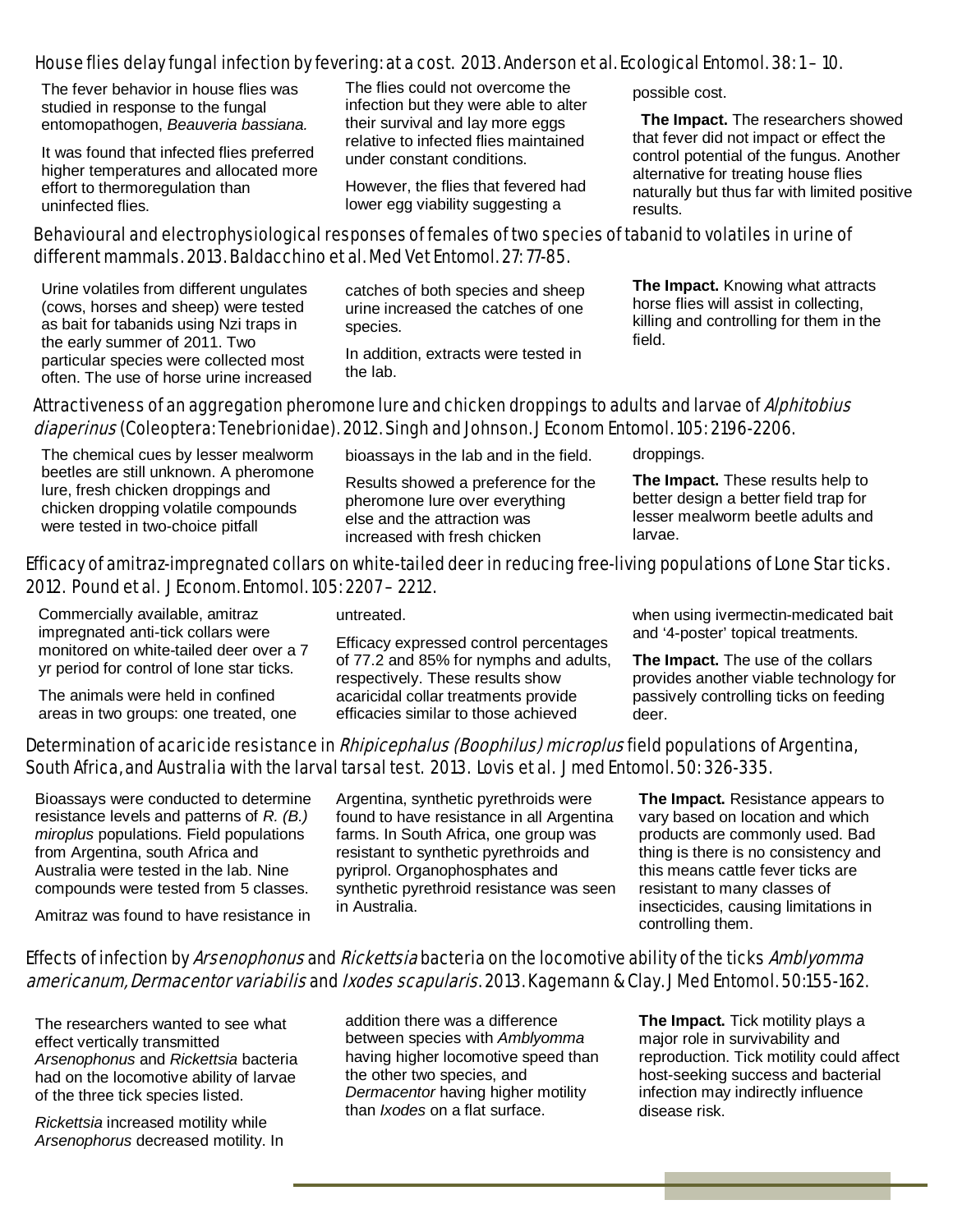#### House flies delay fungal infection by fevering: at a cost. 2013. Anderson et al. Ecological Entomol. 38: 1 – 10.

 The fever behavior in house flies was studied in response to the fungal entomopathogen, *Beauveria bassiana.*

It was found that infected flies preferred higher temperatures and allocated more effort to thermoregulation than uninfected flies.

The flies could not overcome the infection but they were able to alter their survival and lay more eggs relative to infected flies maintained under constant conditions.

However, the flies that fevered had lower egg viability suggesting a

possible cost.

 **The Impact.** The researchers showed that fever did not impact or effect the control potential of the fungus. Another alternative for treating house flies naturally but thus far with limited positive results.

#### Behavioural and electrophysiological responses of females of two species of tabanid to volatiles in urine of different mammals. 2013. Baldacchino et al. Med Vet Entomol. 27: 77-85.

Urine volatiles from different ungulates (cows, horses and sheep) were tested as bait for tabanids using Nzi traps in the early summer of 2011. Two particular species were collected most often. The use of horse urine increased

catches of both species and sheep urine increased the catches of one species.

In addition, extracts were tested in the lab.

**The Impact.** Knowing what attracts horse flies will assist in collecting, killing and controlling for them in the field.

#### Attractiveness of an aggregation pheromone lure and chicken droppings to adults and larvae of Alphitobius diaperinus (Coleoptera: Tenebrionidae). 2012. Singh and Johnson. J Econom Entomol. 105: 2196-2206.

The chemical cues by lesser mealworm beetles are still unknown. A pheromone lure, fresh chicken droppings and chicken dropping volatile compounds were tested in two-choice pitfall

bioassays in the lab and in the field.

Results showed a preference for the pheromone lure over everything else and the attraction was increased with fresh chicken

droppings.

**The Impact.** These results help to better design a better field trap for lesser mealworm beetle adults and larvae.

#### Efficacy of amitraz-impregnated collars on white-tailed deer in reducing free-living populations of Lone Star ticks. 2012. Pound et al. J Econom. Entomol. 105: 2207 – 2212.

Commercially available, amitraz impregnated anti-tick collars were monitored on white-tailed deer over a 7 yr period for control of lone star ticks.

The animals were held in confined areas in two groups: one treated, one untreated.

Efficacy expressed control percentages of 77.2 and 85% for nymphs and adults, respectively. These results show acaricidal collar treatments provide efficacies similar to those achieved

when using ivermectin-medicated bait and '4-poster' topical treatments.

**The Impact.** The use of the collars provides another viable technology for passively controlling ticks on feeding deer.

### Determination of acaricide resistance in *Rhipicephalus (Boophilus) microplus* field populations of Argentina, South Africa, and Australia with the larval tarsal test. 2013. Lovis et al. J med Entomol. 50: 326-335.

Bioassays were conducted to determine resistance levels and patterns of *R. (B.) miroplus* populations. Field populations from Argentina, south Africa and Australia were tested in the lab. Nine compounds were tested from 5 classes.

Amitraz was found to have resistance in

Argentina, synthetic pyrethroids were found to have resistance in all Argentina farms. In South Africa, one group was resistant to synthetic pyrethroids and pyriprol. Organophosphates and synthetic pyrethroid resistance was seen in Australia.

**The Impact.** Resistance appears to vary based on location and which products are commonly used. Bad thing is there is no consistency and this means cattle fever ticks are resistant to many classes of insecticides, causing limitations in controlling them.

#### Effects of infection by Arsenophonus and Rickettsia bacteria on the locomotive ability of the ticks Amblyomma americanum, Dermacentor variabilis and Ixodes scapularis. 2013. Kagemann & Clay. J Med Entomol. 50:155-162.

The researchers wanted to see what effect vertically transmitted *Arsenophonus* and *Rickettsia* bacteria had on the locomotive ability of larvae of the three tick species listed.

*Rickettsia* increased motility while *Arsenophorus* decreased motility. In addition there was a difference between species with *Amblyomma* having higher locomotive speed than the other two species, and *Dermacentor* having higher motility than *Ixodes* on a flat surface.

**The Impact.** Tick motility plays a major role in survivability and reproduction. Tick motility could affect host-seeking success and bacterial infection may indirectly influence disease risk.